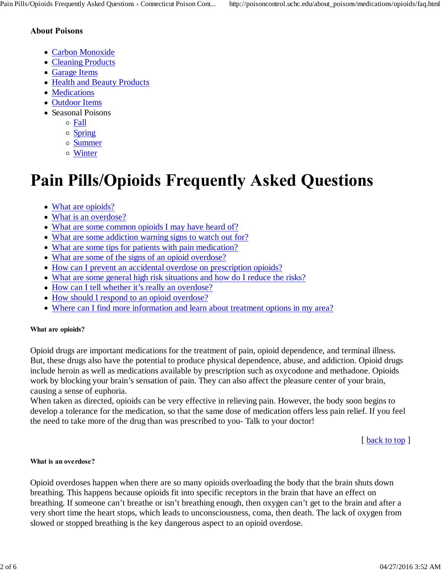### **About Poisons**

- Carbon Monoxide
- Cleaning Products
- Garage Items
- Health and Beauty Products
- Medications
- Outdoor Items
- Seasonal Poisons
	- Fall
	- o Spring
	- Summer
	- Winter

# **Pain Pills/Opioids Frequently Asked Questions**

- What are opioids?
- What is an overdose?
- What are some common opioids I may have heard of?
- What are some addiction warning signs to watch out for?
- What are some tips for patients with pain medication?
- What are some of the signs of an opioid overdose?
- How can I prevent an accidental overdose on prescription opioids?
- What are some general high risk situations and how do I reduce the risks?
- How can I tell whether it's really an overdose?
- How should I respond to an opioid overdose?
- Where can I find more information and learn about treatment options in my area?

### **What are opioids?**

Opioid drugs are important medications for the treatment of pain, opioid dependence, and terminal illness. But, these drugs also have the potential to produce physical dependence, abuse, and addiction. Opioid drugs include heroin as well as medications available by prescription such as oxycodone and methadone. Opioids work by blocking your brain's sensation of pain. They can also affect the pleasure center of your brain, causing a sense of euphoria.

When taken as directed, opioids can be very effective in relieving pain. However, the body soon begins to develop a tolerance for the medication, so that the same dose of medication offers less pain relief. If you feel the need to take more of the drug than was prescribed to you- Talk to your doctor!

[ back to top ]

#### **What is an overdose?**

Opioid overdoses happen when there are so many opioids overloading the body that the brain shuts down breathing. This happens because opioids fit into specific receptors in the brain that have an effect on breathing. If someone can't breathe or isn't breathing enough, then oxygen can't get to the brain and after a very short time the heart stops, which leads to unconsciousness, coma, then death. The lack of oxygen from slowed or stopped breathing is the key dangerous aspect to an opioid overdose.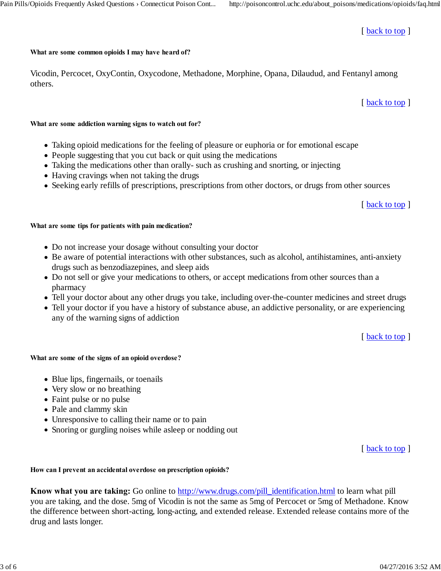### [ back to top ]

#### **What are some common opioids I may have heard of?**

Vicodin, Percocet, OxyContin, Oxycodone, Methadone, Morphine, Opana, Dilaudud, and Fentanyl among others.

[ back to top ]

#### **What are some addiction warning signs to watch out for?**

- Taking opioid medications for the feeling of pleasure or euphoria or for emotional escape
- People suggesting that you cut back or quit using the medications
- Taking the medications other than orally- such as crushing and snorting, or injecting
- Having cravings when not taking the drugs
- Seeking early refills of prescriptions, prescriptions from other doctors, or drugs from other sources

[ back to top ]

### **What are some tips for patients with pain medication?**

- Do not increase your dosage without consulting your doctor
- Be aware of potential interactions with other substances, such as alcohol, antihistamines, anti-anxiety drugs such as benzodiazepines, and sleep aids
- Do not sell or give your medications to others, or accept medications from other sources than a pharmacy
- Tell your doctor about any other drugs you take, including over-the-counter medicines and street drugs
- Tell your doctor if you have a history of substance abuse, an addictive personality, or are experiencing any of the warning signs of addiction

[ back to top ]

### **What are some of the signs of an opioid overdose?**

- Blue lips, fingernails, or toenails
- Very slow or no breathing
- Faint pulse or no pulse
- Pale and clammy skin
- Unresponsive to calling their name or to pain
- Snoring or gurgling noises while asleep or nodding out

[ back to top ]

## **How can I prevent an accidental overdose on prescription opioids?**

**Know what you are taking:** Go online to http://www.drugs.com/pill\_identification.html to learn what pill you are taking, and the dose. 5mg of Vicodin is not the same as 5mg of Percocet or 5mg of Methadone. Know the difference between short-acting, long-acting, and extended release. Extended release contains more of the drug and lasts longer.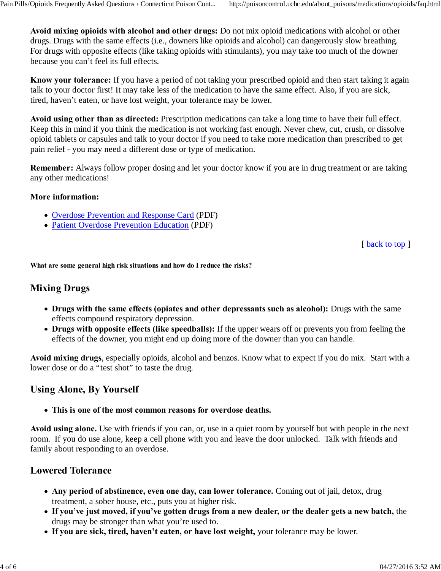**Avoid mixing opioids with alcohol and other drugs:** Do not mix opioid medications with alcohol or other drugs. Drugs with the same effects (i.e., downers like opioids and alcohol) can dangerously slow breathing. For drugs with opposite effects (like taking opioids with stimulants), you may take too much of the downer because you can't feel its full effects.

**Know your tolerance:** If you have a period of not taking your prescribed opioid and then start taking it again talk to your doctor first! It may take less of the medication to have the same effect. Also, if you are sick, tired, haven't eaten, or have lost weight, your tolerance may be lower.

**Avoid using other than as directed:** Prescription medications can take a long time to have their full effect. Keep this in mind if you think the medication is not working fast enough. Never chew, cut, crush, or dissolve opioid tablets or capsules and talk to your doctor if you need to take more medication than prescribed to get pain relief - you may need a different dose or type of medication.

**Remember:** Always follow proper dosing and let your doctor know if you are in drug treatment or are taking any other medications!

#### **More information:**

- Overdose Prevention and Response Card (PDF)
- Patient Overdose Prevention Education (PDF)

[ back to top ]

**What are some general high risk situations and how do I reduce the risks?**

## **Mixing Drugs**

- **Drugs with the same effects (opiates and other depressants such as alcohol):** Drugs with the same effects compound respiratory depression.
- **Drugs with opposite effects (like speedballs):** If the upper wears off or prevents you from feeling the effects of the downer, you might end up doing more of the downer than you can handle.

**Avoid mixing drugs**, especially opioids, alcohol and benzos. Know what to expect if you do mix. Start with a lower dose or do a "test shot" to taste the drug.

## **Using Alone, By Yourself**

**This is one of the most common reasons for overdose deaths.**

**Avoid using alone.** Use with friends if you can, or, use in a quiet room by yourself but with people in the next room. If you do use alone, keep a cell phone with you and leave the door unlocked. Talk with friends and family about responding to an overdose.

## **Lowered Tolerance**

- **Any period of abstinence, even one day, can lower tolerance.** Coming out of jail, detox, drug treatment, a sober house, etc., puts you at higher risk.
- **If you've just moved, if you've gotten drugs from a new dealer, or the dealer gets a new batch,** the drugs may be stronger than what you're used to.
- **If you are sick, tired, haven't eaten, or have lost weight,** your tolerance may be lower.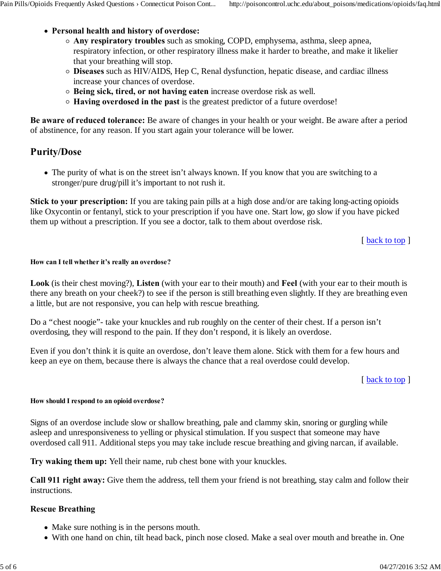- **Personal health and history of overdose:**
	- **Any respiratory troubles** such as smoking, COPD, emphysema, asthma, sleep apnea, respiratory infection, or other respiratory illness make it harder to breathe, and make it likelier that your breathing will stop.
	- **Diseases** such as HIV/AIDS, Hep C, Renal dysfunction, hepatic disease, and cardiac illness increase your chances of overdose.
	- **Being sick, tired, or not having eaten** increase overdose risk as well.
	- **Having overdosed in the past** is the greatest predictor of a future overdose!

**Be aware of reduced tolerance:** Be aware of changes in your health or your weight. Be aware after a period of abstinence, for any reason. If you start again your tolerance will be lower.

# **Purity/Dose**

The purity of what is on the street isn't always known. If you know that you are switching to a stronger/pure drug/pill it's important to not rush it.

**Stick to your prescription:** If you are taking pain pills at a high dose and/or are taking long-acting opioids like Oxycontin or fentanyl, stick to your prescription if you have one. Start low, go slow if you have picked them up without a prescription. If you see a doctor, talk to them about overdose risk.

[ back to top ]

### **How can I tell whether it's really an overdose?**

**Look** (is their chest moving?), **Listen** (with your ear to their mouth) and **Feel** (with your ear to their mouth is there any breath on your cheek?) to see if the person is still breathing even slightly. If they are breathing even a little, but are not responsive, you can help with rescue breathing.

Do a "chest noogie"- take your knuckles and rub roughly on the center of their chest. If a person isn't overdosing, they will respond to the pain. If they don't respond, it is likely an overdose.

Even if you don't think it is quite an overdose, don't leave them alone. Stick with them for a few hours and keep an eye on them, because there is always the chance that a real overdose could develop.

### [ back to top ]

### **How should I respond to an opioid overdose?**

Signs of an overdose include slow or shallow breathing, pale and clammy skin, snoring or gurgling while asleep and unresponsiveness to yelling or physical stimulation. If you suspect that someone may have overdosed call 911. Additional steps you may take include rescue breathing and giving narcan, if available.

**Try waking them up:** Yell their name, rub chest bone with your knuckles.

**Call 911 right away:** Give them the address, tell them your friend is not breathing, stay calm and follow their instructions.

## **Rescue Breathing**

- Make sure nothing is in the persons mouth.
- With one hand on chin, tilt head back, pinch nose closed. Make a seal over mouth and breathe in. One